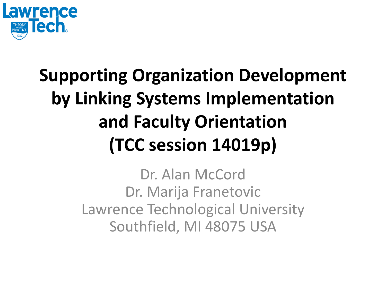

#### **Supporting Organization Development by Linking Systems Implementation and Faculty Orientation (TCC session 14019p)**

Dr. Alan McCord Dr. Marija Franetovic Lawrence Technological University Southfield, MI 48075 USA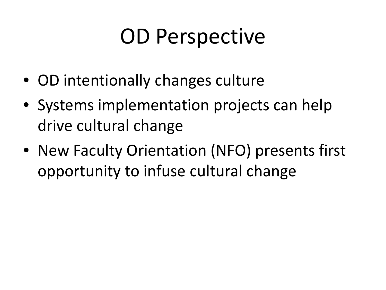# OD Perspective

- OD intentionally changes culture
- Systems implementation projects can help drive cultural change
- New Faculty Orientation (NFO) presents first opportunity to infuse cultural change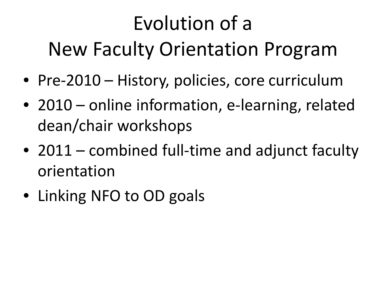# Evolution of a New Faculty Orientation Program

- Pre-2010 History, policies, core curriculum
- 2010 online information, e-learning, related dean/chair workshops
- 2011 combined full-time and adjunct faculty orientation
- Linking NFO to OD goals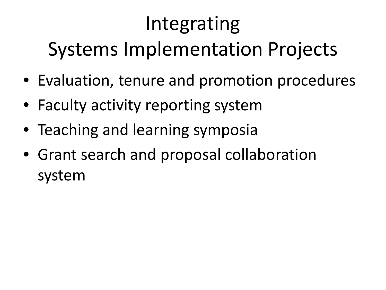## Integrating Systems Implementation Projects

- Evaluation, tenure and promotion procedures
- Faculty activity reporting system
- Teaching and learning symposia
- Grant search and proposal collaboration system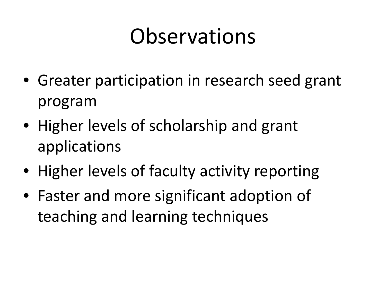## **Observations**

- Greater participation in research seed grant program
- Higher levels of scholarship and grant applications
- Higher levels of faculty activity reporting
- Faster and more significant adoption of teaching and learning techniques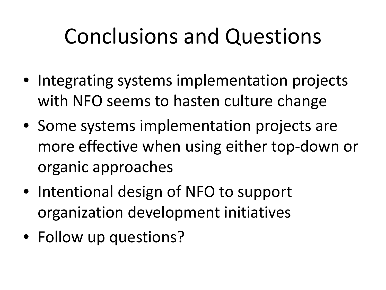# Conclusions and Questions

- Integrating systems implementation projects with NFO seems to hasten culture change
- Some systems implementation projects are more effective when using either top-down or organic approaches
- Intentional design of NFO to support organization development initiatives
- Follow up questions?